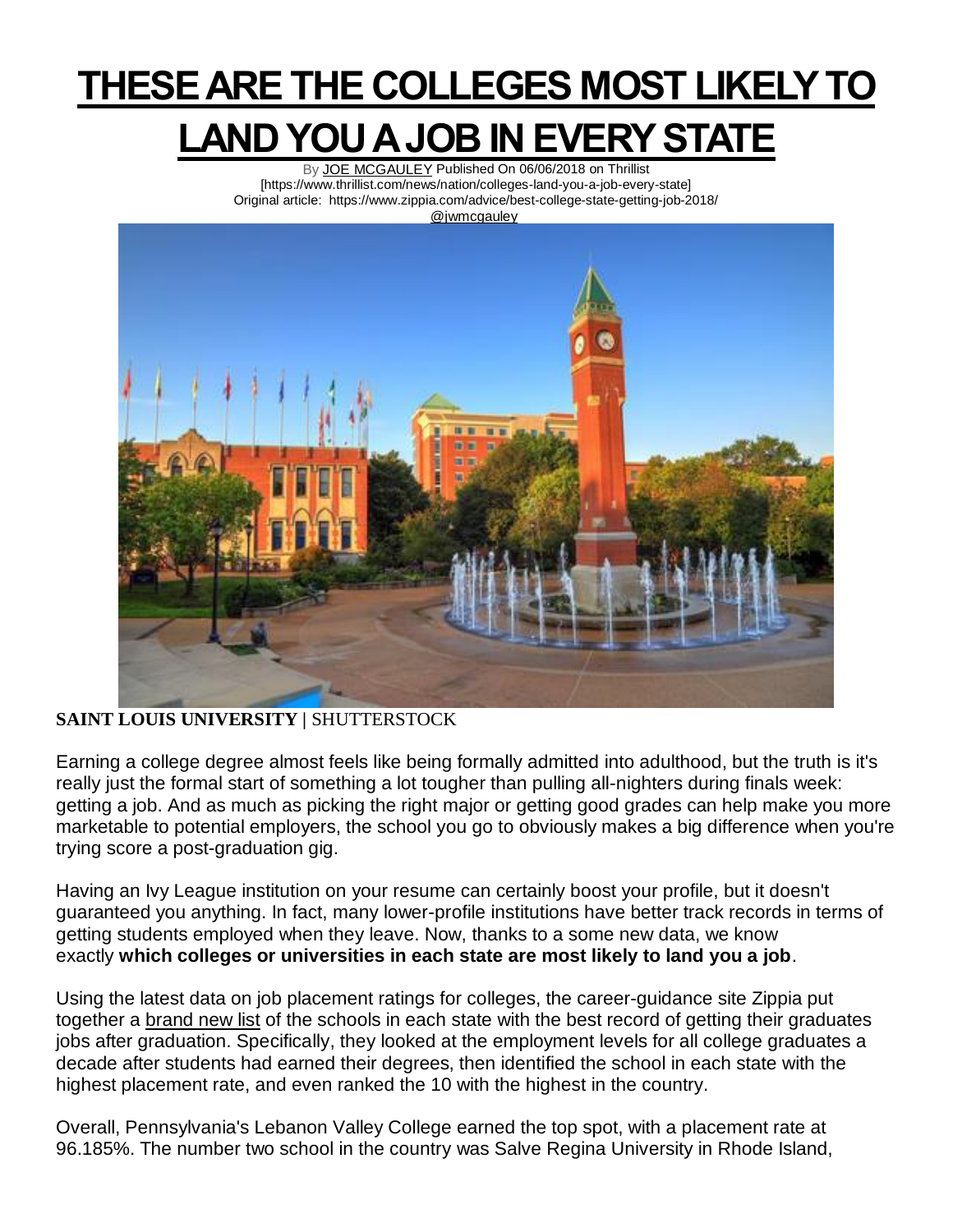## **THESE ARE THE COLLEGES MOST LIKELY TO LAND YOU A JOB IN EVERY STATE**

By [JOE MCGAULEY](https://www.thrillist.com/authors/joe-mcgauley) Published On 06/06/2018 on Thrillist [https://www.thrillist.com/news/nation/colleges-land-you-a-job-every-state] Original article: https://www.zippia.com/advice/best-college-state-getting-job-2018/ [@jwmcgauley](https://www.twitter.com/@jwmcgauley)



## **SAINT LOUIS UNIVERSITY |** SHUTTERSTOCK

Earning a college degree almost feels like being formally admitted into adulthood, but the truth is it's really just the formal start of something a lot tougher than pulling all-nighters during finals week: getting a job. And as much as picking the right major or getting good grades can help make you more marketable to potential employers, the school you go to obviously makes a big difference when you're trying score a post-graduation gig.

Having an Ivy League institution on your resume can certainly boost your profile, but it doesn't guaranteed you anything. In fact, many lower-profile institutions have better track records in terms of getting students employed when they leave. Now, thanks to a some new data, we know exactly **which colleges or universities in each state are most likely to land you a job**.

Using the latest data on job placement ratings for colleges, the career-guidance site Zippia put together a [brand new list](https://www.zippia.com/advice/best-college-state-getting-job-2018/) of the schools in each state with the best record of getting their graduates jobs after graduation. Specifically, they looked at the employment levels for all college graduates a decade after students had earned their degrees, then identified the school in each state with the highest placement rate, and even ranked the 10 with the highest in the country.

Overall, Pennsylvania's Lebanon Valley College earned the top spot, with a placement rate at 96.185%. The number two school in the country was Salve Regina University in Rhode Island,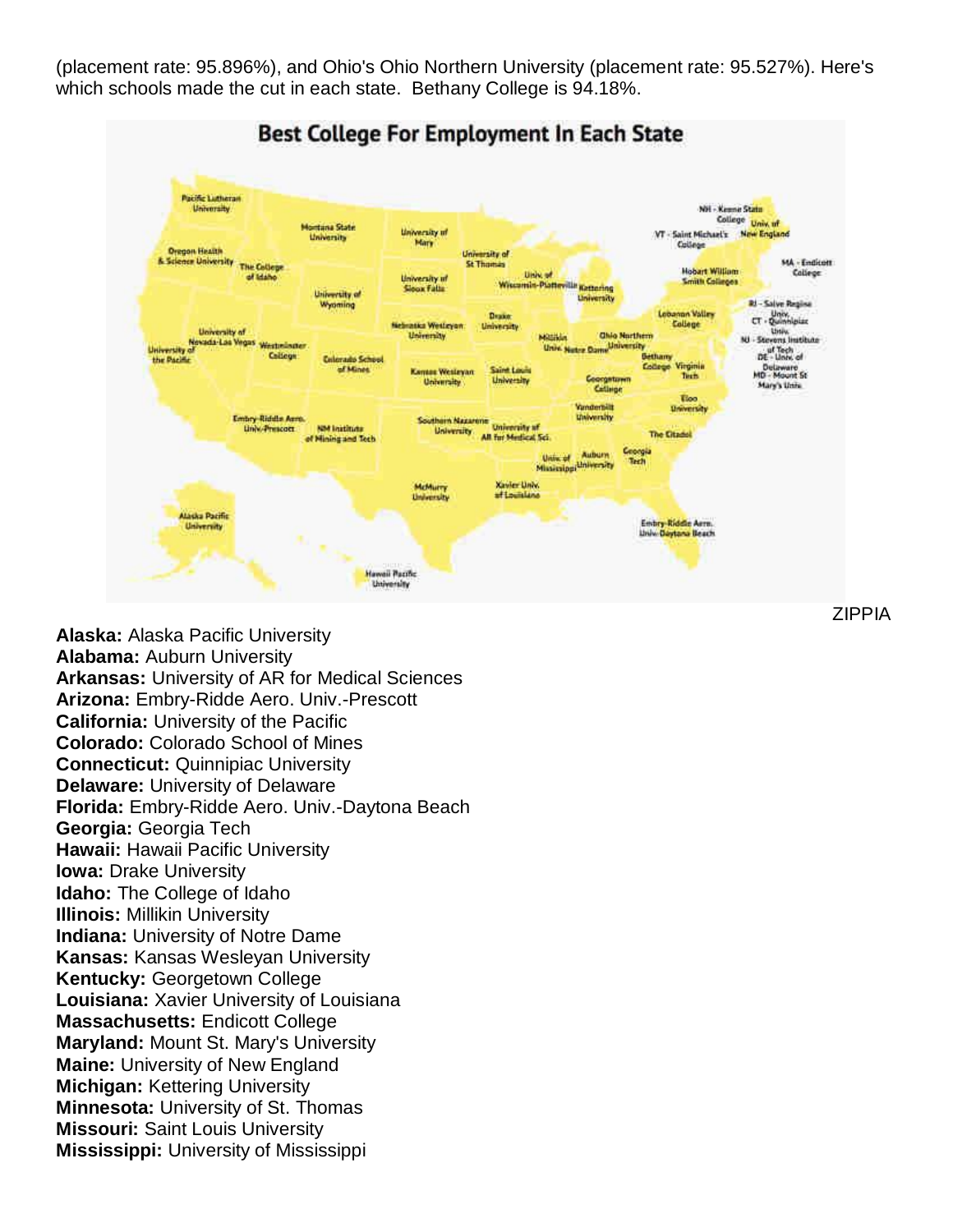(placement rate: 95.896%), and Ohio's Ohio Northern University (placement rate: 95.527%). Here's which schools made the cut in each state. Bethany College is 94.18%.



**Alaska:** Alaska Pacific University **Alabama:** Auburn University **Arkansas:** University of AR for Medical Sciences **Arizona:** Embry-Ridde Aero. Univ.-Prescott **California:** University of the Pacific **Colorado:** Colorado School of Mines **Connecticut:** Quinnipiac University **Delaware:** University of Delaware **Florida:** Embry-Ridde Aero. Univ.-Daytona Beach **Georgia:** Georgia Tech **Hawaii:** Hawaii Pacific University **Iowa:** Drake University **Idaho:** The College of Idaho **Illinois:** Millikin University **Indiana:** University of Notre Dame **Kansas:** Kansas Wesleyan University **Kentucky:** Georgetown College **Louisiana:** Xavier University of Louisiana **Massachusetts:** Endicott College **Maryland:** Mount St. Mary's University **Maine:** University of New England **Michigan:** Kettering University **Minnesota:** University of St. Thomas **Missouri:** Saint Louis University **Mississippi:** University of Mississippi

ZIPPIA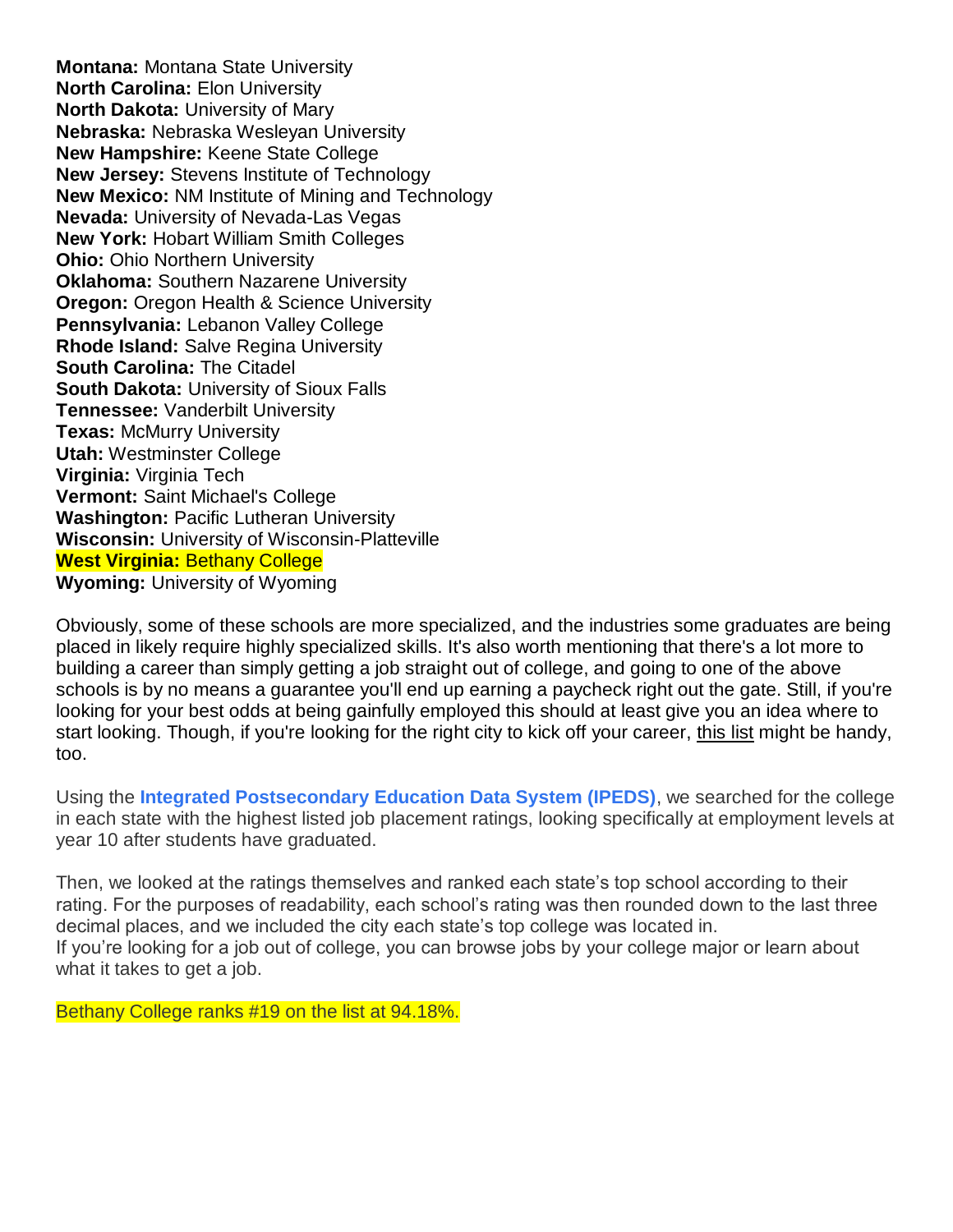**Montana:** Montana State University **North Carolina:** Elon University **North Dakota:** University of Mary **Nebraska:** Nebraska Wesleyan University **New Hampshire:** Keene State College **New Jersey:** Stevens Institute of Technology **New Mexico:** NM Institute of Mining and Technology **Nevada:** University of Nevada-Las Vegas **New York:** Hobart William Smith Colleges **Ohio:** Ohio Northern University **Oklahoma:** Southern Nazarene University **Oregon:** Oregon Health & Science University **Pennsylvania:** Lebanon Valley College **Rhode Island:** Salve Regina University **South Carolina:** The Citadel **South Dakota:** University of Sioux Falls **Tennessee:** Vanderbilt University **Texas:** McMurry University **Utah:** Westminster College **Virginia:** Virginia Tech **Vermont:** Saint Michael's College **Washington:** Pacific Lutheran University **Wisconsin:** University of Wisconsin-Platteville **West Virginia:** Bethany College **Wyoming:** University of Wyoming

Obviously, some of these schools are more specialized, and the industries some graduates are being placed in likely require highly specialized skills. It's also worth mentioning that there's a lot more to building a career than simply getting a job straight out of college, and going to one of the above schools is by no means a guarantee you'll end up earning a paycheck right out the gate. Still, if you're looking for your best odds at being gainfully employed this should at least give you an idea where to start looking. Though, if you're looking for the right city to kick off your career, [this list](https://www.thrillist.com/news/nation/best-places-to-start-a-career-2018-wallethub) might be handy, too.

Using the **[Integrated Postsecondary Education Data System \(IPEDS\)](https://nces.ed.gov/ipeds/)**, we searched for the college in each state with the highest listed job placement ratings, looking specifically at employment levels at year 10 after students have graduated.

Then, we looked at the ratings themselves and ranked each state's top school according to their rating. For the purposes of readability, each school's rating was then rounded down to the last three decimal places, and we included the city each state's top college was located in. If you're looking for a job out of college, you can browse jobs by your college major or learn about what it takes to get a job.

Bethany College ranks #19 on the list at 94.18%.